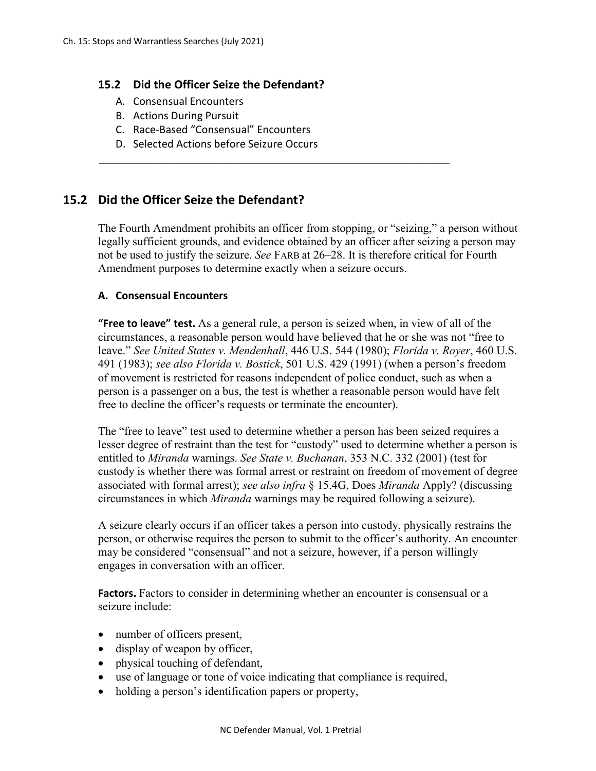## **15.2 Did the Officer Seize the Defendant?**

- A. Consensual Encounters
- B. Actions During Pursuit
- C. Race-Based "Consensual" Encounters
- D. Selected Actions before Seizure Occurs

# **15.2 Did the Officer Seize the Defendant?**

The Fourth Amendment prohibits an officer from stopping, or "seizing," a person without legally sufficient grounds, and evidence obtained by an officer after seizing a person may not be used to justify the seizure. *See* FARB at 26–28. It is therefore critical for Fourth Amendment purposes to determine exactly when a seizure occurs.

 $\mathcal{L}_\text{max}$  and  $\mathcal{L}_\text{max}$  and  $\mathcal{L}_\text{max}$  and  $\mathcal{L}_\text{max}$  and  $\mathcal{L}_\text{max}$  and  $\mathcal{L}_\text{max}$ 

#### **A. Consensual Encounters**

**"Free to leave" test.** As a general rule, a person is seized when, in view of all of the circumstances, a reasonable person would have believed that he or she was not "free to leave." *See United States v. Mendenhall*, 446 U.S. 544 (1980); *Florida v. Royer*, 460 U.S. 491 (1983); *see also Florida v. Bostick*, 501 U.S. 429 (1991) (when a person's freedom of movement is restricted for reasons independent of police conduct, such as when a person is a passenger on a bus, the test is whether a reasonable person would have felt free to decline the officer's requests or terminate the encounter).

The "free to leave" test used to determine whether a person has been seized requires a lesser degree of restraint than the test for "custody" used to determine whether a person is entitled to *Miranda* warnings. *See State v. Buchanan*, 353 N.C. 332 (2001) (test for custody is whether there was formal arrest or restraint on freedom of movement of degree associated with formal arrest); *see also infra* § 15.4G, Does *Miranda* Apply? (discussing circumstances in which *Miranda* warnings may be required following a seizure).

A seizure clearly occurs if an officer takes a person into custody, physically restrains the person, or otherwise requires the person to submit to the officer's authority. An encounter may be considered "consensual" and not a seizure, however, if a person willingly engages in conversation with an officer.

Factors. Factors to consider in determining whether an encounter is consensual or a seizure include:

- number of officers present,
- display of weapon by officer,
- physical touching of defendant,
- use of language or tone of voice indicating that compliance is required,
- holding a person's identification papers or property,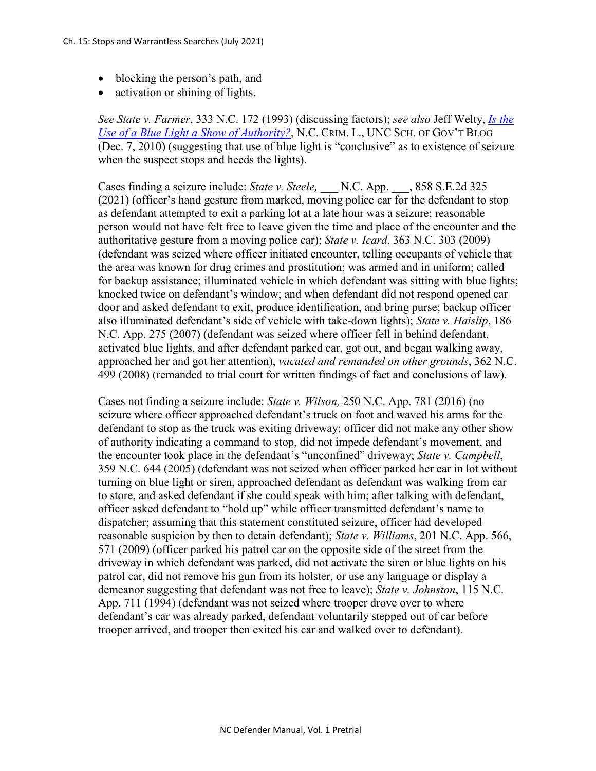- blocking the person's path, and
- activation or shining of lights.

*See State v. Farmer*, 333 N.C. 172 (1993) (discussing factors); *see also* Jeff Welty, *[Is the](http://nccriminallaw.sog.unc.edu/?p=1804)  [Use of a Blue Light a Show of Authority?](http://nccriminallaw.sog.unc.edu/?p=1804)*, N.C. CRIM. L., UNC SCH. OF GOV'T BLOG (Dec. 7, 2010) (suggesting that use of blue light is "conclusive" as to existence of seizure when the suspect stops and heeds the lights).

Cases finding a seizure include: *State v. Steele,* \_\_\_ N.C. App. \_\_\_, 858 S.E.2d 325 (2021) (officer's hand gesture from marked, moving police car for the defendant to stop as defendant attempted to exit a parking lot at a late hour was a seizure; reasonable person would not have felt free to leave given the time and place of the encounter and the authoritative gesture from a moving police car); *State v. Icard*, 363 N.C. 303 (2009) (defendant was seized where officer initiated encounter, telling occupants of vehicle that the area was known for drug crimes and prostitution; was armed and in uniform; called for backup assistance; illuminated vehicle in which defendant was sitting with blue lights; knocked twice on defendant's window; and when defendant did not respond opened car door and asked defendant to exit, produce identification, and bring purse; backup officer also illuminated defendant's side of vehicle with take-down lights); *State v. Haislip*, 186 N.C. App. 275 (2007) (defendant was seized where officer fell in behind defendant, activated blue lights, and after defendant parked car, got out, and began walking away, approached her and got her attention), *vacated and remanded on other grounds*, 362 N.C. 499 (2008) (remanded to trial court for written findings of fact and conclusions of law).

Cases not finding a seizure include: *State v. Wilson,* 250 N.C. App. 781 (2016) (no seizure where officer approached defendant's truck on foot and waved his arms for the defendant to stop as the truck was exiting driveway; officer did not make any other show of authority indicating a command to stop, did not impede defendant's movement, and the encounter took place in the defendant's "unconfined" driveway; *State v. Campbell*, 359 N.C. 644 (2005) (defendant was not seized when officer parked her car in lot without turning on blue light or siren, approached defendant as defendant was walking from car to store, and asked defendant if she could speak with him; after talking with defendant, officer asked defendant to "hold up" while officer transmitted defendant's name to dispatcher; assuming that this statement constituted seizure, officer had developed reasonable suspicion by then to detain defendant); *State v. Williams*, 201 N.C. App. 566, 571 (2009) (officer parked his patrol car on the opposite side of the street from the driveway in which defendant was parked, did not activate the siren or blue lights on his patrol car, did not remove his gun from its holster, or use any language or display a demeanor suggesting that defendant was not free to leave); *State v. Johnston*, 115 N.C. App. 711 (1994) (defendant was not seized where trooper drove over to where defendant's car was already parked, defendant voluntarily stepped out of car before trooper arrived, and trooper then exited his car and walked over to defendant).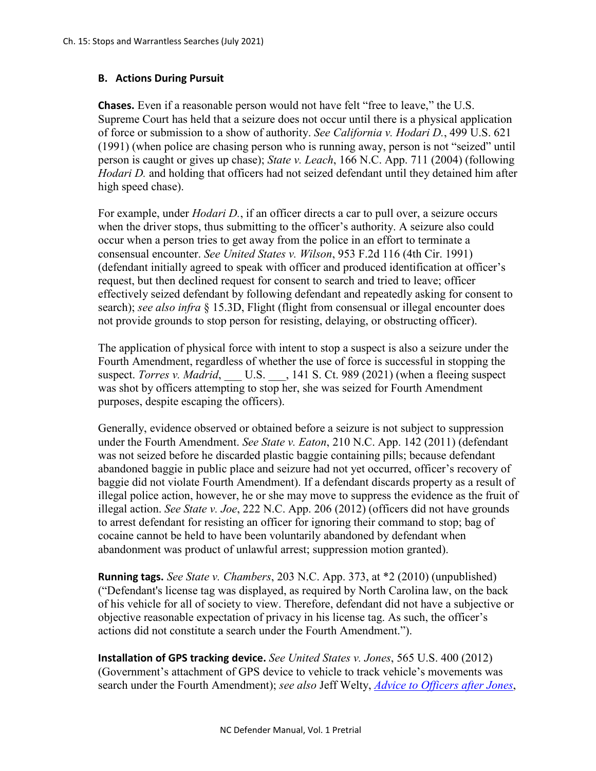## **B. Actions During Pursuit**

**Chases.** Even if a reasonable person would not have felt "free to leave," the U.S. Supreme Court has held that a seizure does not occur until there is a physical application of force or submission to a show of authority. *See California v. Hodari D.*, 499 U.S. 621 (1991) (when police are chasing person who is running away, person is not "seized" until person is caught or gives up chase); *State v. Leach*, 166 N.C. App. 711 (2004) (following *Hodari D.* and holding that officers had not seized defendant until they detained him after high speed chase).

For example, under *Hodari D.*, if an officer directs a car to pull over, a seizure occurs when the driver stops, thus submitting to the officer's authority. A seizure also could occur when a person tries to get away from the police in an effort to terminate a consensual encounter. *See United States v. Wilson*, 953 F.2d 116 (4th Cir. 1991) (defendant initially agreed to speak with officer and produced identification at officer's request, but then declined request for consent to search and tried to leave; officer effectively seized defendant by following defendant and repeatedly asking for consent to search); *see also infra* § 15.3D, Flight (flight from consensual or illegal encounter does not provide grounds to stop person for resisting, delaying, or obstructing officer).

The application of physical force with intent to stop a suspect is also a seizure under the Fourth Amendment, regardless of whether the use of force is successful in stopping the suspect. *Torres v. Madrid*, \_\_\_ U.S. \_\_\_, 141 S. Ct. 989 (2021) (when a fleeing suspect was shot by officers attempting to stop her, she was seized for Fourth Amendment purposes, despite escaping the officers).

Generally, evidence observed or obtained before a seizure is not subject to suppression under the Fourth Amendment. *See State v. Eaton*, 210 N.C. App. 142 (2011) (defendant was not seized before he discarded plastic baggie containing pills; because defendant abandoned baggie in public place and seizure had not yet occurred, officer's recovery of baggie did not violate Fourth Amendment). If a defendant discards property as a result of illegal police action, however, he or she may move to suppress the evidence as the fruit of illegal action. *See State v. Joe*, 222 N.C. App. 206 (2012) (officers did not have grounds to arrest defendant for resisting an officer for ignoring their command to stop; bag of cocaine cannot be held to have been voluntarily abandoned by defendant when abandonment was product of unlawful arrest; suppression motion granted).

**Running tags.** *See State v. Chambers*, 203 N.C. App. 373, at \*2 (2010) (unpublished) ("Defendant's license tag was displayed, as required by North Carolina law, on the back of his vehicle for all of society to view. Therefore, defendant did not have a subjective or objective reasonable expectation of privacy in his license tag. As such, the officer's actions did not constitute a search under the Fourth Amendment.").

**Installation of GPS tracking device.** *See United States v. Jones*, 565 U.S. 400 (2012) (Government's attachment of GPS device to vehicle to track vehicle's movements was search under the Fourth Amendment); *see also* Jeff Welty, *[Advice to Officers after Jones](http://nccriminallaw.sog.unc.edu/?p=3250)*,